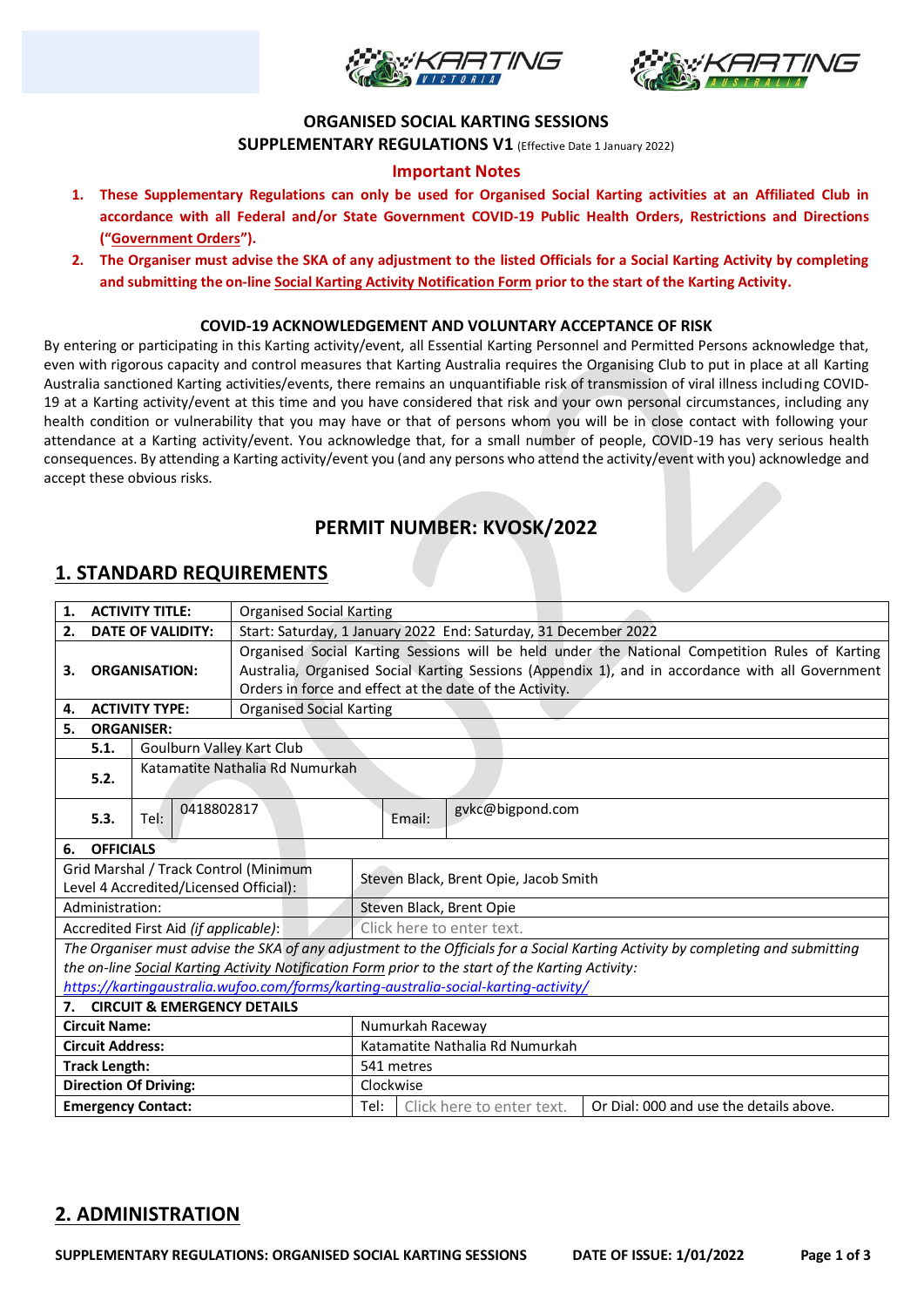



#### **ORGANISED SOCIAL KARTING SESSIONS**

**SUPPLEMENTARY REGULATIONS V1** (Effective Date 1 January 2022)

### **Important Notes**

- **1. These Supplementary Regulations can only be used for Organised Social Karting activities at an Affiliated Club in accordance with all Federal and/or State Government COVID-19 Public Health Orders, Restrictions and Directions ("Government Orders").**
- **2. The Organiser must advise the SKA of any adjustment to the listed Officials for a Social Karting Activity by completing and submitting the on-line Social Karting Activity Notification Form prior to the start of the Karting Activity.**

#### **COVID-19 ACKNOWLEDGEMENT AND VOLUNTARY ACCEPTANCE OF RISK**

By entering or participating in this Karting activity/event, all Essential Karting Personnel and Permitted Persons acknowledge that, even with rigorous capacity and control measures that Karting Australia requires the Organising Club to put in place at all Karting Australia sanctioned Karting activities/events, there remains an unquantifiable risk of transmission of viral illness including COVID-19 at a Karting activity/event at this time and you have considered that risk and your own personal circumstances, including any health condition or vulnerability that you may have or that of persons whom you will be in close contact with following your attendance at a Karting activity/event. You acknowledge that, for a small number of people, COVID-19 has very serious health consequences. By attending a Karting activity/event you (and any persons who attend the activity/event with you) acknowledge and accept these obvious risks.

## **PERMIT NUMBER: KVOSK/2022**

### **1. STANDARD REQUIREMENTS**

| <b>ACTIVITY TITLE:</b><br>1.                                                        |                                   |                                        | <b>Organised Social Karting</b>                                                                  |                                       |        |                                                                                                   |                                                                                                                                 |  |  |
|-------------------------------------------------------------------------------------|-----------------------------------|----------------------------------------|--------------------------------------------------------------------------------------------------|---------------------------------------|--------|---------------------------------------------------------------------------------------------------|---------------------------------------------------------------------------------------------------------------------------------|--|--|
| <b>DATE OF VALIDITY:</b><br>2.                                                      |                                   |                                        | Start: Saturday, 1 January 2022 End: Saturday, 31 December 2022                                  |                                       |        |                                                                                                   |                                                                                                                                 |  |  |
| <b>ORGANISATION:</b><br>З.                                                          |                                   |                                        | Organised Social Karting Sessions will be held under the National Competition Rules of Karting   |                                       |        |                                                                                                   |                                                                                                                                 |  |  |
|                                                                                     |                                   |                                        | Australia, Organised Social Karting Sessions (Appendix 1), and in accordance with all Government |                                       |        |                                                                                                   |                                                                                                                                 |  |  |
|                                                                                     |                                   |                                        | Orders in force and effect at the date of the Activity.                                          |                                       |        |                                                                                                   |                                                                                                                                 |  |  |
| <b>ACTIVITY TYPE:</b><br>4.                                                         |                                   |                                        | <b>Organised Social Karting</b>                                                                  |                                       |        |                                                                                                   |                                                                                                                                 |  |  |
| 5.                                                                                  | <b>ORGANISER:</b>                 |                                        |                                                                                                  |                                       |        |                                                                                                   |                                                                                                                                 |  |  |
|                                                                                     | Goulburn Valley Kart Club<br>5.1. |                                        |                                                                                                  |                                       |        |                                                                                                   |                                                                                                                                 |  |  |
|                                                                                     |                                   |                                        | Katamatite Nathalia Rd Numurkah                                                                  |                                       |        |                                                                                                   |                                                                                                                                 |  |  |
| 5.2.                                                                                |                                   |                                        |                                                                                                  |                                       |        |                                                                                                   |                                                                                                                                 |  |  |
|                                                                                     |                                   | 0418802817                             |                                                                                                  |                                       |        | gvkc@bigpond.com                                                                                  |                                                                                                                                 |  |  |
|                                                                                     | 5.3.                              | Tel:                                   |                                                                                                  |                                       | Email: |                                                                                                   |                                                                                                                                 |  |  |
| 6.                                                                                  | <b>OFFICIALS</b>                  |                                        |                                                                                                  |                                       |        |                                                                                                   |                                                                                                                                 |  |  |
|                                                                                     |                                   | Grid Marshal / Track Control (Minimum  |                                                                                                  |                                       |        |                                                                                                   |                                                                                                                                 |  |  |
| Level 4 Accredited/Licensed Official):                                              |                                   |                                        |                                                                                                  | Steven Black, Brent Opie, Jacob Smith |        |                                                                                                   |                                                                                                                                 |  |  |
| Administration:                                                                     |                                   |                                        |                                                                                                  | Steven Black, Brent Opie              |        |                                                                                                   |                                                                                                                                 |  |  |
| Accredited First Aid (if applicable):                                               |                                   |                                        |                                                                                                  | Click here to enter text.             |        |                                                                                                   |                                                                                                                                 |  |  |
|                                                                                     |                                   |                                        |                                                                                                  |                                       |        |                                                                                                   | The Organiser must advise the SKA of any adjustment to the Officials for a Social Karting Activity by completing and submitting |  |  |
|                                                                                     |                                   |                                        |                                                                                                  |                                       |        | the on-line Social Karting Activity Notification Form prior to the start of the Karting Activity: |                                                                                                                                 |  |  |
| https://kartingaustralia.wufoo.com/forms/karting-australia-social-karting-activity/ |                                   |                                        |                                                                                                  |                                       |        |                                                                                                   |                                                                                                                                 |  |  |
| 7.                                                                                  |                                   | <b>CIRCUIT &amp; EMERGENCY DETAILS</b> |                                                                                                  |                                       |        |                                                                                                   |                                                                                                                                 |  |  |
| <b>Circuit Name:</b>                                                                |                                   |                                        |                                                                                                  | Numurkah Raceway                      |        |                                                                                                   |                                                                                                                                 |  |  |
| <b>Circuit Address:</b>                                                             |                                   |                                        |                                                                                                  | Katamatite Nathalia Rd Numurkah       |        |                                                                                                   |                                                                                                                                 |  |  |
| <b>Track Length:</b>                                                                |                                   |                                        |                                                                                                  | 541 metres                            |        |                                                                                                   |                                                                                                                                 |  |  |
| <b>Direction Of Driving:</b>                                                        |                                   |                                        |                                                                                                  | Clockwise                             |        |                                                                                                   |                                                                                                                                 |  |  |
| <b>Emergency Contact:</b>                                                           |                                   |                                        |                                                                                                  | Tel:                                  |        | Click here to enter text.                                                                         | Or Dial: 000 and use the details above.                                                                                         |  |  |

### **2. ADMINISTRATION**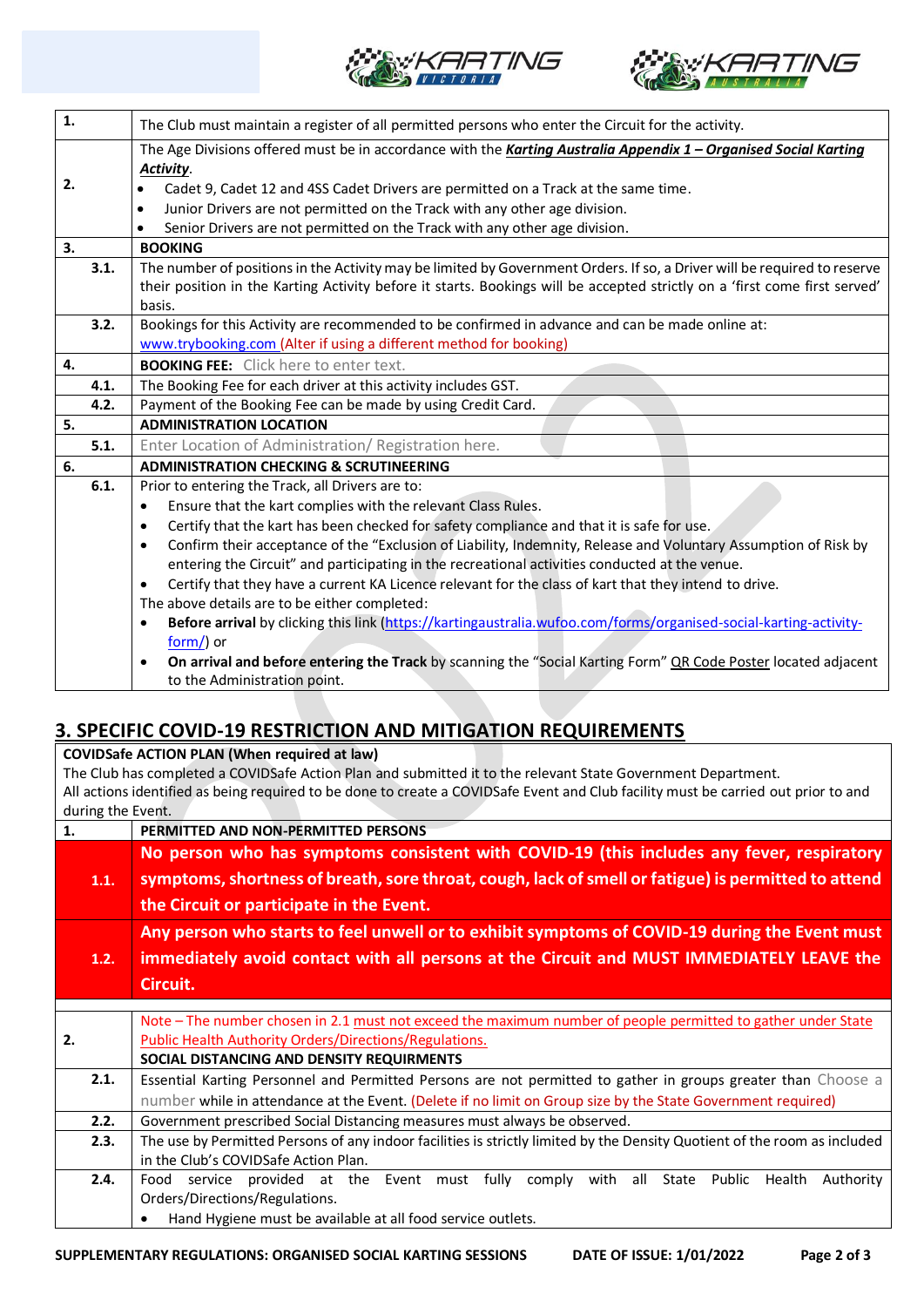



| 1.   | The Club must maintain a register of all permitted persons who enter the Circuit for the activity.                           |  |  |  |  |  |
|------|------------------------------------------------------------------------------------------------------------------------------|--|--|--|--|--|
|      | The Age Divisions offered must be in accordance with the Karting Australia Appendix 1 - Organised Social Karting             |  |  |  |  |  |
|      | Activity.                                                                                                                    |  |  |  |  |  |
| 2.   | Cadet 9, Cadet 12 and 4SS Cadet Drivers are permitted on a Track at the same time.                                           |  |  |  |  |  |
|      | Junior Drivers are not permitted on the Track with any other age division.<br>$\bullet$                                      |  |  |  |  |  |
|      | Senior Drivers are not permitted on the Track with any other age division.                                                   |  |  |  |  |  |
| 3.   | <b>BOOKING</b>                                                                                                               |  |  |  |  |  |
| 3.1. | The number of positions in the Activity may be limited by Government Orders. If so, a Driver will be required to reserve     |  |  |  |  |  |
|      | their position in the Karting Activity before it starts. Bookings will be accepted strictly on a 'first come first served'   |  |  |  |  |  |
|      | basis.                                                                                                                       |  |  |  |  |  |
| 3.2. | Bookings for this Activity are recommended to be confirmed in advance and can be made online at:                             |  |  |  |  |  |
|      | www.trybooking.com (Alter if using a different method for booking)                                                           |  |  |  |  |  |
| 4.   | <b>BOOKING FEE:</b> Click here to enter text.                                                                                |  |  |  |  |  |
| 4.1. | The Booking Fee for each driver at this activity includes GST.                                                               |  |  |  |  |  |
| 4.2. | Payment of the Booking Fee can be made by using Credit Card.                                                                 |  |  |  |  |  |
| 5.   | <b>ADMINISTRATION LOCATION</b>                                                                                               |  |  |  |  |  |
| 5.1. | Enter Location of Administration/ Registration here.                                                                         |  |  |  |  |  |
| 6.   | <b>ADMINISTRATION CHECKING &amp; SCRUTINEERING</b>                                                                           |  |  |  |  |  |
| 6.1. | Prior to entering the Track, all Drivers are to:                                                                             |  |  |  |  |  |
|      | Ensure that the kart complies with the relevant Class Rules.<br>$\bullet$                                                    |  |  |  |  |  |
|      | Certify that the kart has been checked for safety compliance and that it is safe for use.<br>$\bullet$                       |  |  |  |  |  |
|      | Confirm their acceptance of the "Exclusion of Liability, Indemnity, Release and Voluntary Assumption of Risk by<br>$\bullet$ |  |  |  |  |  |
|      | entering the Circuit" and participating in the recreational activities conducted at the venue.                               |  |  |  |  |  |
|      | Certify that they have a current KA Licence relevant for the class of kart that they intend to drive.                        |  |  |  |  |  |
|      | The above details are to be either completed:                                                                                |  |  |  |  |  |
|      | Before arrival by clicking this link (https://kartingaustralia.wufoo.com/forms/organised-social-karting-activity-<br>٠       |  |  |  |  |  |
|      | form/) or                                                                                                                    |  |  |  |  |  |
|      | On arrival and before entering the Track by scanning the "Social Karting Form" QR Code Poster located adjacent               |  |  |  |  |  |
|      | to the Administration point.                                                                                                 |  |  |  |  |  |

# **3. SPECIFIC COVID-19 RESTRICTION AND MITIGATION REQUIREMENTS**

**COVIDSafe ACTION PLAN (When required at law)** The Club has completed a COVIDSafe Action Plan and submitted it to the relevant State Government Department. All actions identified as being required to be done to create a COVIDSafe Event and Club facility must be carried out prior to and during the Event. **1. PERMITTED AND NON-PERMITTED PERSONS 1.1. No person who has symptoms consistent with COVID-19 (this includes any fever, respiratory symptoms, shortness of breath, sore throat, cough, lack of smell or fatigue) is permitted to attend the Circuit or participate in the Event. 1.2. Any person who starts to feel unwell or to exhibit symptoms of COVID-19 during the Event must immediately avoid contact with all persons at the Circuit and MUST IMMEDIATELY LEAVE the Circuit. 2.** Note – The number chosen in 2.1 must not exceed the maximum number of people permitted to gather under State Public Health Authority Orders/Directions/Regulations. **SOCIAL DISTANCING AND DENSITY REQUIRMENTS 2.1.** Essential Karting Personnel and Permitted Persons are not permitted to gather in groups greater than Choose a number while in attendance at the Event. (Delete if no limit on Group size by the State Government required) **2.2.** Government prescribed Social Distancing measures must always be observed. **2.3.** The use by Permitted Persons of any indoor facilities is strictly limited by the Density Quotient of the room as included in the Club's COVIDSafe Action Plan. **2.4.** Food service provided at the Event must fully comply with all State Public Health Authority Orders/Directions/Regulations. • Hand Hygiene must be available at all food service outlets.